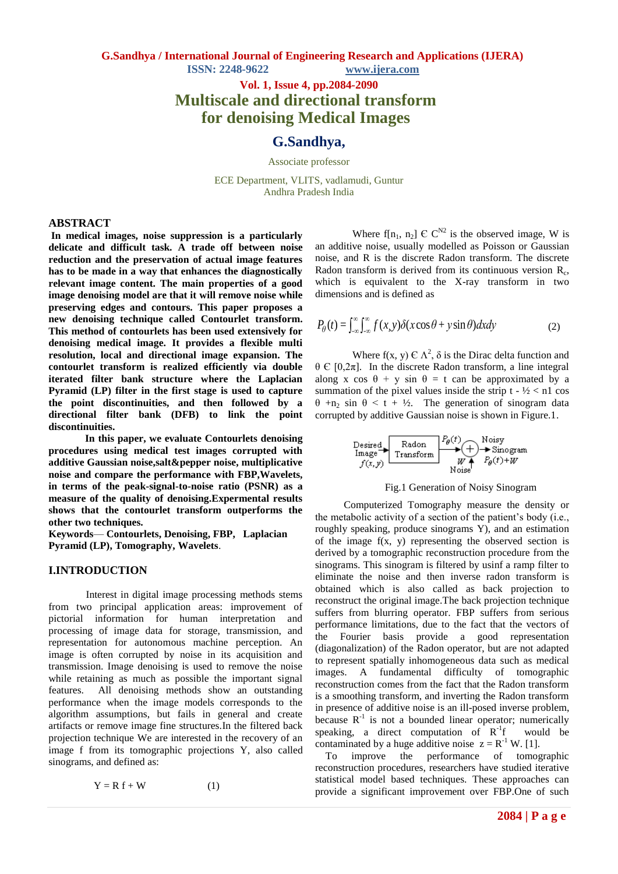> **Vol. 1, Issue 4, pp.2084-2090 Multiscale and directional transform for denoising Medical Images**

# **G.Sandhya,**

Associate professor

ECE Department, VLITS, vadlamudi, Guntur Andhra Pradesh India

# **ABSTRACT**

**In medical images, noise suppression is a particularly delicate and difficult task. A trade off between noise reduction and the preservation of actual image features has to be made in a way that enhances the diagnostically relevant image content. The main properties of a good image denoising model are that it will remove noise while preserving edges and contours. This paper proposes a new denoising technique called Contourlet transform. This method of contourlets has been used extensively for denoising medical image. It provides a flexible multi resolution, local and directional image expansion. The contourlet transform is realized efficiently via double iterated filter bank structure where the Laplacian Pyramid (LP) filter in the first stage is used to capture the point discontinuities, and then followed by a directional filter bank (DFB) to link the point discontinuities.**

 **In this paper, we evaluate Contourlets denoising procedures using medical test images corrupted with additive Gaussian noise,salt&pepper noise, multiplicative noise and compare the performance with FBP,Wavelets, in terms of the peak-signal-to-noise ratio (PSNR) as a measure of the quality of denoising.Expermental results shows that the contourlet transform outperforms the other two techniques.** 

**Keywords**— **Contourlets, Denoising, FBP, Laplacian Pyramid (LP), Tomography, Wavelets**.

#### **I.INTRODUCTION**

Interest in digital image processing methods stems from two principal application areas: improvement of pictorial information for human interpretation and processing of image data for storage, transmission, and representation for autonomous machine perception. An image is often corrupted by noise in its acquisition and transmission. Image denoising is used to remove the noise while retaining as much as possible the important signal features. All denoising methods show an outstanding performance when the image models corresponds to the algorithm assumptions, but fails in general and create artifacts or remove image fine structures.In the filtered back projection technique We are interested in the recovery of an image f from its tomographic projections Y, also called sinograms, and defined as:

 $Y = R f + W$  (1)

Where f[n<sub>1</sub>, n<sub>2</sub>]  $\in \mathbb{C}^{N2}$  is the observed image, W is an additive noise, usually modelled as Poisson or Gaussian noise, and R is the discrete Radon transform. The discrete Radon transform is derived from its continuous version  $R_c$ , which is equivalent to the X-ray transform in two dimensions and is defined as

$$
P_{\theta}(t) = \int_{-\infty}^{\infty} \int_{-\infty}^{\infty} f(x, y) \delta(x \cos \theta + y \sin \theta) dx dy
$$
 (2)

Where  $f(x, y) \in \Lambda^2$ ,  $\delta$  is the Dirac delta function and θ Є [0,2π]. In the discrete Radon transform, a line integral along x cos  $\theta$  + y sin  $\theta$  = t can be approximated by a summation of the pixel values inside the strip  $t - \frac{1}{2} < n1$  cos θ +n<sup>2</sup> sin θ < t + ½. The generation of sinogram data corrupted by additive Gaussian noise is shown in Figure.1.

$$
\underbrace{\text{Iense}}_{f(x,y)} \xrightarrow{\text{Radon}} \underbrace{P_{\theta}(t)}_{\text{W4}} \xleftarrow{\text{Noisy}}_{P_{\theta}(t)+W}
$$

#### Fig.1 Generation of Noisy Sinogram

 Computerized Tomography measure the density or the metabolic activity of a section of the patient's body (i.e., roughly speaking, produce sinograms Y), and an estimation of the image f(x, y) representing the observed section is derived by a tomographic reconstruction procedure from the sinograms. This sinogram is filtered by usinf a ramp filter to eliminate the noise and then inverse radon transform is obtained which is also called as back projection to reconstruct the original image.The back projection technique suffers from blurring operator. FBP suffers from serious performance limitations, due to the fact that the vectors of the Fourier basis provide a good representation (diagonalization) of the Radon operator, but are not adapted to represent spatially inhomogeneous data such as medical images. A fundamental difficulty of tomographic reconstruction comes from the fact that the Radon transform is a smoothing transform, and inverting the Radon transform in presence of additive noise is an ill-posed inverse problem, because  $R^{-1}$  is not a bounded linear operator; numerically speaking, a direct computation of  $R^{-1}$ would be contaminated by a huge additive noise  $z = R^{-1} W$ . [1].

To improve the performance of tomographic reconstruction procedures, researchers have studied iterative statistical model based techniques. These approaches can provide a significant improvement over FBP.One of such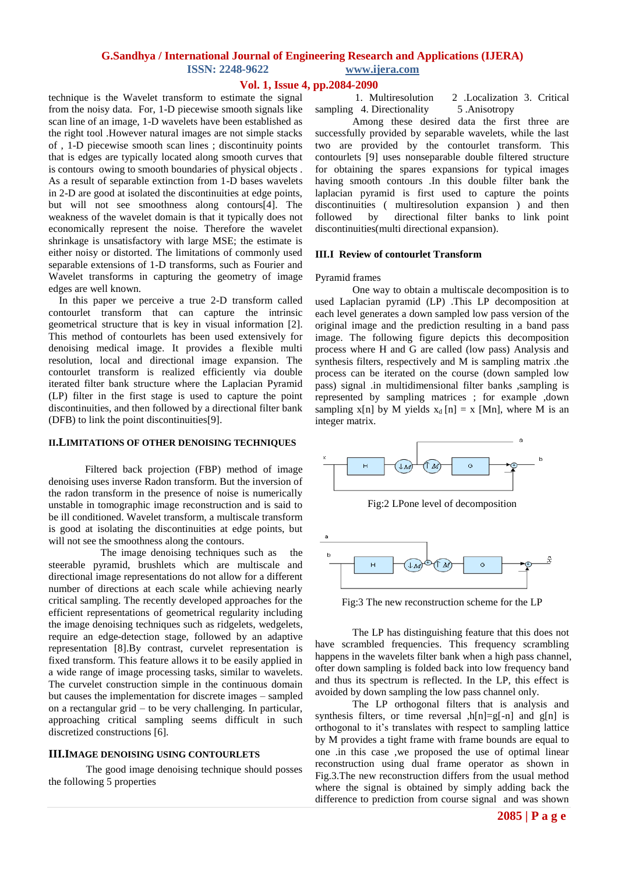#### **Vol. 1, Issue 4, pp.2084-2090**

technique is the Wavelet transform to estimate the signal from the noisy data. For, 1-D piecewise smooth signals like scan line of an image, 1-D wavelets have been established as the right tool .However natural images are not simple stacks of , 1-D piecewise smooth scan lines ; discontinuity points that is edges are typically located along smooth curves that is contours owing to smooth boundaries of physical objects . As a result of separable extinction from 1-D bases wavelets in 2-D are good at isolated the discontinuities at edge points, but will not see smoothness along contours[4]. The weakness of the wavelet domain is that it typically does not economically represent the noise. Therefore the wavelet shrinkage is unsatisfactory with large MSE; the estimate is either noisy or distorted. The limitations of commonly used separable extensions of 1-D transforms, such as Fourier and Wavelet transforms in capturing the geometry of image edges are well known.

In this paper we perceive a true 2-D transform called contourlet transform that can capture the intrinsic geometrical structure that is key in visual information [2]. This method of contourlets has been used extensively for denoising medical image. It provides a flexible multi resolution, local and directional image expansion. The contourlet transform is realized efficiently via double iterated filter bank structure where the Laplacian Pyramid (LP) filter in the first stage is used to capture the point discontinuities, and then followed by a directional filter bank (DFB) to link the point discontinuities[9].

#### **II.LIMITATIONS OF OTHER DENOISING TECHNIQUES**

Filtered back projection (FBP) method of image denoising uses inverse Radon transform. But the inversion of the radon transform in the presence of noise is numerically unstable in tomographic image reconstruction and is said to be ill conditioned. Wavelet transform, a multiscale transform is good at isolating the discontinuities at edge points, but will not see the smoothness along the contours.

 The image denoising techniques such as the steerable pyramid, brushlets which are multiscale and directional image representations do not allow for a different number of directions at each scale while achieving nearly critical sampling. The recently developed approaches for the efficient representations of geometrical regularity including the image denoising techniques such as ridgelets, wedgelets, require an edge-detection stage, followed by an adaptive representation [8].By contrast, curvelet representation is fixed transform. This feature allows it to be easily applied in a wide range of image processing tasks, similar to wavelets. The curvelet construction simple in the continuous domain but causes the implementation for discrete images – sampled on a rectangular grid – to be very challenging. In particular, approaching critical sampling seems difficult in such discretized constructions [6].

#### **III.IMAGE DENOISING USING CONTOURLETS**

The good image denoising technique should posses the following 5 properties

Among these desired data the first three are successfully provided by separable wavelets, while the last two are provided by the contourlet transform. This contourlets [9] uses nonseparable double filtered structure for obtaining the spares expansions for typical images having smooth contours .In this double filter bank the laplacian pyramid is first used to capture the points discontinuities ( multiresolution expansion ) and then followed by directional filter banks to link point discontinuities(multi directional expansion).

#### **III.I Review of contourlet Transform**

#### Pyramid frames

One way to obtain a multiscale decomposition is to used Laplacian pyramid (LP) .This LP decomposition at each level generates a down sampled low pass version of the original image and the prediction resulting in a band pass image. The following figure depicts this decomposition process where H and G are called (low pass) Analysis and synthesis filters, respectively and M is sampling matrix .the process can be iterated on the course (down sampled low pass) signal .in multidimensional filter banks ,sampling is represented by sampling matrices ; for example ,down sampling x[n] by M yields  $x_d$  [n] = x [Mn], where M is an integer matrix.



Fig:2 LPone level of decomposition



Fig:3 The new reconstruction scheme for the LP

The LP has distinguishing feature that this does not have scrambled frequencies. This frequency scrambling happens in the wavelets filter bank when a high pass channel, ofter down sampling is folded back into low frequency band and thus its spectrum is reflected. In the LP, this effect is avoided by down sampling the low pass channel only.

The LP orthogonal filters that is analysis and synthesis filters, or time reversal , $h[n]=g[-n]$  and  $g[n]$  is orthogonal to it's translates with respect to sampling lattice by M provides a tight frame with frame bounds are equal to one .in this case ,we proposed the use of optimal linear reconstruction using dual frame operator as shown in Fig.3.The new reconstruction differs from the usual method where the signal is obtained by simply adding back the difference to prediction from course signal and was shown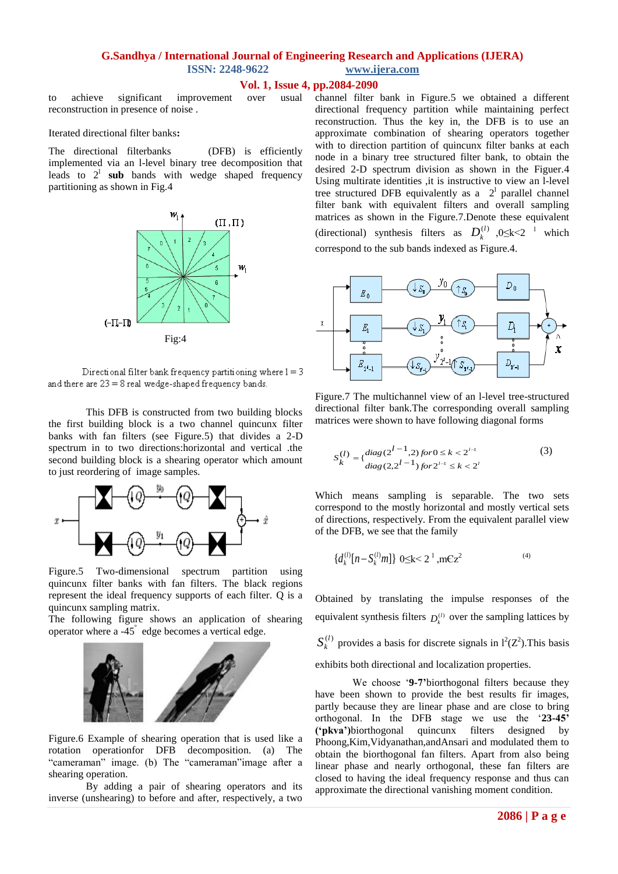# **Vol. 1, Issue 4, pp.2084-2090**

to achieve significant improvement over usual reconstruction in presence of noise .

Iterated directional filter banks**:**

The directional filterbanks(DFB) is efficiently implemented via an l-level binary tree decomposition that leads to  $2^1$  sub bands with wedge shaped frequency partitioning as shown in Fig.4



Directional filter bank frequency partitioning where  $1 = 3$ and there are  $23 = 8$  real wedge-shaped frequency bands.

This DFB is constructed from two building blocks the first building block is a two channel quincunx filter banks with fan filters (see Figure.5) that divides a 2-D spectrum in to two directions:horizontal and vertical .the second building block is a shearing operator which amount to just reordering of image samples.



Figure.5 Two-dimensional spectrum partition using quincunx filter banks with fan filters. The black regions represent the ideal frequency supports of each filter. Q is a quincunx sampling matrix.

The following figure shows an application of shearing operator where  $a -45^\circ$  edge becomes a vertical edge.



Figure.6 Example of shearing operation that is used like a rotation operationfor DFB decomposition. (a) The "cameraman" image. (b) The "cameraman" image after a shearing operation.

By adding a pair of shearing operators and its inverse (unshearing) to before and after, respectively, a two channel filter bank in Figure.5 we obtained a different directional frequency partition while maintaining perfect reconstruction. Thus the key in, the DFB is to use an approximate combination of shearing operators together with to direction partition of quincunx filter banks at each node in a binary tree structured filter bank, to obtain the desired 2-D spectrum division as shown in the Figuer.4 Using multirate identities ,it is instructive to view an l-level tree structured DFB equivalently as a  $2<sup>1</sup>$  parallel channel filter bank with equivalent filters and overall sampling matrices as shown in the Figure.7.Denote these equivalent (directional) synthesis filters as  $D_k^{(l)}$ , 0≤k<2<sup>-1</sup> which correspond to the sub bands indexed as Figure.4.



Figure.7 The multichannel view of an l-level tree-structured directional filter bank.The corresponding overall sampling matrices were shown to have following diagonal forms

$$
S_k^{(l)} = \{ \frac{diag(2^{l-1}, 2) \text{ for } 0 \le k < 2^{l-1}}{diag(2, 2^{l-1}) \text{ for } 2^{l-1} \le k < 2^l} \tag{3}
$$

Which means sampling is separable. The two sets correspond to the mostly horizontal and mostly vertical sets of directions, respectively. From the equivalent parallel view of the DFB, we see that the family

$$
\{d_k^{(l)}[n-S_k^{(l)}m]\}\ 0 \le k < 2^{l}, mCz^2
$$

Obtained by translating the impulse responses of the equivalent synthesis filters  $D_k^{(l)}$  over the sampling lattices by

 $S_k^{(l)}$  provides a basis for discrete signals in  $l^2(Z^2)$ . This basis

exhibits both directional and localization properties.

We choose '9-7'biorthogonal filters because they have been shown to provide the best results fir images, partly because they are linear phase and are close to bring orthogonal. In the DFB stage we use the ‗**23-45' ('pkva')**biorthogonal quincunx filters designed by Phoong,Kim,Vidyanathan,andAnsari and modulated them to obtain the biorthogonal fan filters. Apart from also being linear phase and nearly orthogonal, these fan filters are closed to having the ideal frequency response and thus can approximate the directional vanishing moment condition.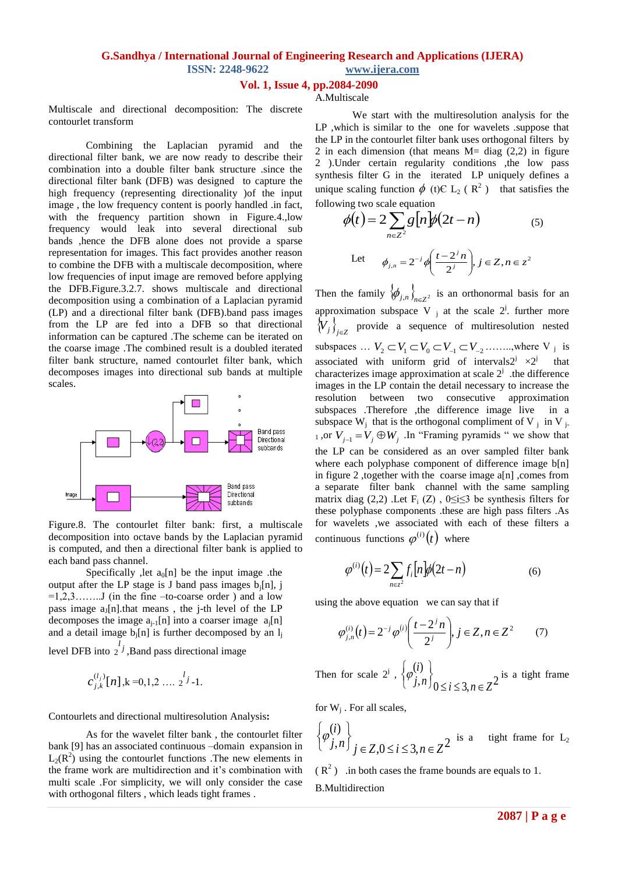# **Vol. 1, Issue 4, pp.2084-2090**

# A.Multiscale

Multiscale and directional decomposition: The discrete contourlet transform

Combining the Laplacian pyramid and the directional filter bank, we are now ready to describe their combination into a double filter bank structure .since the directional filter bank (DFB) was designed to capture the high frequency (representing directionality )of the input image , the low frequency content is poorly handled .in fact, with the frequency partition shown in Figure.4.,low frequency would leak into several directional sub bands ,hence the DFB alone does not provide a sparse representation for images. This fact provides another reason to combine the DFB with a multiscale decomposition, where low frequencies of input image are removed before applying the DFB.Figure.3.2.7. shows multiscale and directional decomposition using a combination of a Laplacian pyramid (LP) and a directional filter bank (DFB).band pass images from the LP are fed into a DFB so that directional information can be captured .The scheme can be iterated on the coarse image .The combined result is a doubled iterated filter bank structure, named contourlet filter bank, which decomposes images into directional sub bands at multiple scales.



Figure.8. The contourlet filter bank: first, a multiscale decomposition into octave bands by the Laplacian pyramid is computed, and then a directional filter bank is applied to each band pass channel.

Specifically , let  $a_0[n]$  be the input image .the output after the LP stage is J band pass images  $b_i[n]$ , j  $=1,2,3,\ldots$  (in the fine –to-coarse order) and a low pass image  $a_1[n]$ , that means, the j-th level of the LP decomposes the image  $a_{i-1}[n]$  into a coarser image  $a_i[n]$ and a detail image  $b_i[n]$  is further decomposed by an  $l_i$ level DFB into  $\frac{l}{2}$ *j*  $2^j$ , Band pass directional image

$$
c_{j,k}^{(l_j)}[n], k=0,1,2 \ldots, 2^l-1.
$$

Contourlets and directional multiresolution Analysis**:**

As for the wavelet filter bank , the contourlet filter bank [9] has an associated continuous –domain expansion in  $L_2(R^2)$  using the contourlet functions . The new elements in the frame work are multidirection and it's combination with multi scale .For simplicity, we will only consider the case with orthogonal filters , which leads tight frames .

We start with the multiresolution analysis for the LP ,which is similar to the one for wavelets .suppose that the LP in the contourlet filter bank uses orthogonal filters by 2 in each dimension (that means  $M = diag(2,2)$  in figure 2 ).Under certain regularity conditions ,the low pass synthesis filter G in the iterated LP uniquely defines a unique scaling function  $\phi$  (t)C L<sub>2</sub> (R<sup>2</sup>) that satisfies the following two scale equation

$$
\phi(t) = 2 \sum_{n \in \mathbb{Z}^2} g\left[n\right] \phi(2t - n) \tag{5}
$$
\nLet

\n
$$
\phi_{j,n} = 2^{-j} \phi\left(\frac{t - 2^{j}n}{2^{j}}\right), j \in \mathbb{Z}, n \in \mathbb{Z}^2
$$

Then the family  $\{\phi_{j,n}\}_{n \in \mathbb{Z}^2}$  is an orthonormal basis for an approximation subspace V  $_{j}$  at the scale  $2^{j}$ . further more  $\langle V_j \rangle_{j \in \mathbb{Z}}$  provide a sequence of multiresolution nested subspaces ...  $V_2 \subset V_1 \subset V_0 \subset V_{-1} \subset V_{-2}$  ......., where V j is associated with uniform grid of intervals2<sup>j</sup>  $\times 2^{j}$  that characterizes image approximation at scale  $2^{j}$  .the difference images in the LP contain the detail necessary to increase the resolution between two consecutive approximation subspaces .Therefore ,the difference image live in a subspace  $W_j$  that is the orthogonal compliment of V  $_j$  in V  $_j$ . 1, or  $V_{j-1} = V_j \oplus W_j$ . In "Framing pyramids " we show that the LP can be considered as an over sampled filter bank where each polyphase component of difference image  $b[n]$ in figure 2 ,together with the coarse image a[n] ,comes from a separate filter bank channel with the same sampling matrix diag (2,2) .Let  $F_i(Z)$ ,  $0 \le i \le 3$  be synthesis filters for these polyphase components .these are high pass filters .As for wavelets ,we associated with each of these filters a continuous functions  $\varphi^{(i)}(t)$  where

$$
\varphi^{(i)}(t) = 2 \sum_{n \in z^2} f_i[n] \varphi(2t - n) \tag{6}
$$

using the above equation we can say that if

$$
\varphi_{j,n}^{(i)}(t) = 2^{-j} \varphi^{(i)}\left(\frac{t - 2^{j} n}{2^{j}}\right), j \in \mathbb{Z}, n \in \mathbb{Z}^{2} \qquad (7)
$$

Then for scale 2<sup>j</sup>,  $\{\varphi_{j,n}^{(i)}\}_{0 \le i \le 3, n \in \mathbb{Z}^2}$  $(i)$  $\left\{n\right\}$ <sub>0</sub>  $\leq i \leq 3, n \in \mathbb{Z}$ *i*  $\left\{ \begin{array}{l} (i) \\ j, n \end{array} \right\}$ <br> $\left\{ \begin{array}{l} j, n \end{array} \right\}$   $\leq i \leq 3, n \in \mathbb{Z}$  $\left\{\varphi_{j,n}^{(i)}\right\}_{0 \le i \le 3, n \in \mathbb{Z}^2}$  is a tight frame

for  $W_j$ . For all scales,

$$
\left\{\varphi_{j,n}^{(i)}\right\}_{j\in Z,0\leq i\leq 3,n\in Z^2}
$$
 is a tight frame for L<sub>2</sub>

 $(R<sup>2</sup>)$  in both cases the frame bounds are equals to 1. B.Multidirection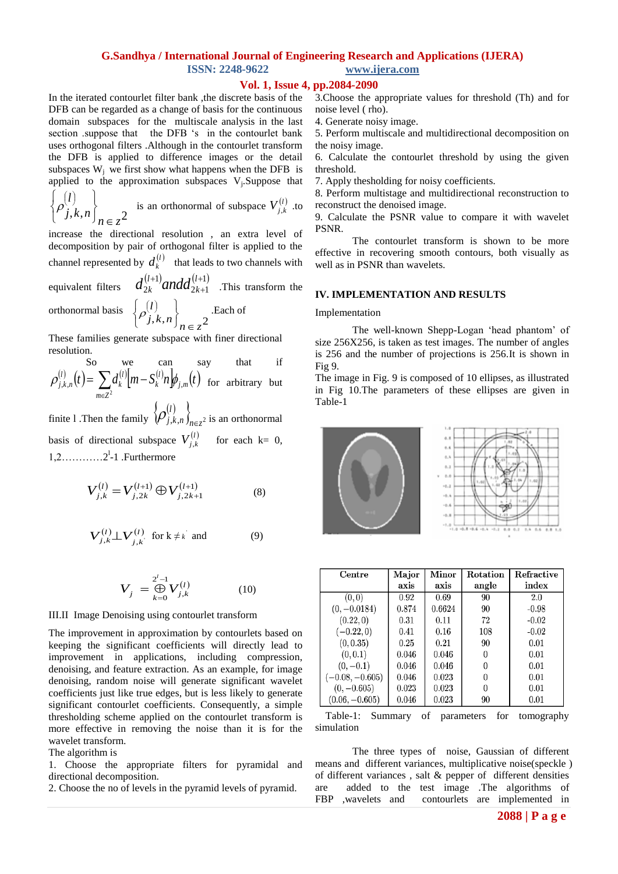# **Vol. 1, Issue 4, pp.2084-2090**

In the iterated contourlet filter bank ,the discrete basis of the DFB can be regarded as a change of basis for the continuous domain subspaces for the multiscale analysis in the last section .suppose that the DFB 's in the contourlet bank uses orthogonal filters .Although in the contourlet transform the DFB is applied to difference images or the detail subspaces  $W_i$  we first show what happens when the DFB is applied to the approximation subspaces  $V_j$ . Suppose that

$$
\left\{\rho_{j,k,n}^{(l)}\right\}_{n\in\mathbb{Z}^2}
$$
 is an orthonormal of subspace  $V_{j,k}^{(l)}$  to

increase the directional resolution , an extra level of decomposition by pair of orthogonal filter is applied to the channel represented by  $d_k^{(l)}$  that leads to two channels with

equivalent filters  $(l+1)$  and  $J(l+1)$  $2k+1$ 1 2  $^{+}$  $^{+}$  $l^{(l)}$  and  $l^{(l)}$ *k l*  $d_{2k}^{(l+1)}$  *and*  $d_{2k+1}^{(l+1)}$  .This transform the

orthonormal basis

$$
\left\{\rho_{j,k,n}^{(l)}\right\}_{n \in \mathbb{Z}^2}
$$
. Each of

These families generate subspace with finer directional resolution.

So we can say that if  

$$
\rho_{j,k,n}^{(l)}(t) = \sum_{m \in \mathbb{Z}^2} d_k^{(l)} \Big[ m - S_k^{(l)} n \Big] \phi_{j,m}(t)
$$
 for arbitrary but

finite 1 .Then the family  $\left\{\rho_{j,k,n}^{(l)}\right\}_{n\in\mathbb{Z}^2}$ *l*  $\left( \mathcal{P}_{j,k,n}^{\vee} \right)_{n \in \mathbb{Z}^2}$  is an orthonormal basis of directional subspace  $V_{j,k}^{(l)}$  for each k= 0,  $1, 2, \ldots, 2^l-1$  . Furthermore

$$
V_{j,k}^{(l)} = V_{j,2k}^{(l+1)} \oplus V_{j,2k+1}^{(l+1)}
$$
 (8)

$$
V_{j,k}^{(l)} \perp V_{j,k}^{(l)} \quad \text{for } k \neq k \quad \text{and} \tag{9}
$$

$$
V_j = \bigoplus_{k=0}^{2^l - 1} V_{j,k}^{(l)} \tag{10}
$$

#### III.II Image Denoising using contourlet transform

The improvement in approximation by contourlets based on keeping the significant coefficients will directly lead to improvement in applications, including compression, denoising, and feature extraction. As an example, for image denoising, random noise will generate significant wavelet coefficients just like true edges, but is less likely to generate significant contourlet coefficients. Consequently, a simple thresholding scheme applied on the contourlet transform is more effective in removing the noise than it is for the wavelet transform.

#### The algorithm is

1. Choose the appropriate filters for pyramidal and directional decomposition.

2. Choose the no of levels in the pyramid levels of pyramid.

3.Choose the appropriate values for threshold (Th) and for noise level ( rho).

4. Generate noisy image.

5. Perform multiscale and multidirectional decomposition on the noisy image.

6. Calculate the contourlet threshold by using the given threshold.

7. Apply thesholding for noisy coefficients.

8. Perform multistage and multidirectional reconstruction to reconstruct the denoised image.

9. Calculate the PSNR value to compare it with wavelet PSNR.

The contourlet transform is shown to be more effective in recovering smooth contours, both visually as well as in PSNR than wavelets.

#### **IV. IMPLEMENTATION AND RESULTS**

#### Implementation

The well-known Shepp-Logan 'head phantom' of size 256X256, is taken as test images. The number of angles is 256 and the number of projections is 256.It is shown in Fig 9.

The image in Fig. 9 is composed of 10 ellipses, as illustrated in Fig 10.The parameters of these ellipses are given in Table-1



| Centre            | Major | Minor  | Rotation | Refractive |
|-------------------|-------|--------|----------|------------|
|                   | axis  | axis   | angle    | index      |
| (0,0)             | 0.92  | 0.69   | 90       | 2.0        |
| $(0, -0.0184)$    | 0.874 | 0.6624 | 90       | $-0.98$    |
| (0.22, 0)         | 0.31  | 0.11   | 72       | $-0.02$    |
| $(-0.22, 0)$      | 0.41  | 0.16   | 108      | $-0.02$    |
| (0, 0.35)         | 0.25  | 0.21   | 90       | 0.01       |
| (0, 0.1)          | 0.046 | 0.046  | 0        | 0.01       |
| $(0,-0.1)$        | 0.046 | 0.046  | 0        | 0.01       |
| $(-0.08, -0.605)$ | 0.046 | 0.023  | 0        | 0.01       |
| $(0, -0.605)$     | 0.023 | 0.023  | 0        | 0.01       |
| $(0.06, -0.605)$  | 0.046 | 0.023  | 90       | 0.01       |

 Table-1: Summary of parameters for tomography simulation

The three types of noise, Gaussian of different means and different variances, multiplicative noise(speckle ) of different variances , salt & pepper of different densities are added to the test image .The algorithms of FBP ,wavelets and contourlets are implemented in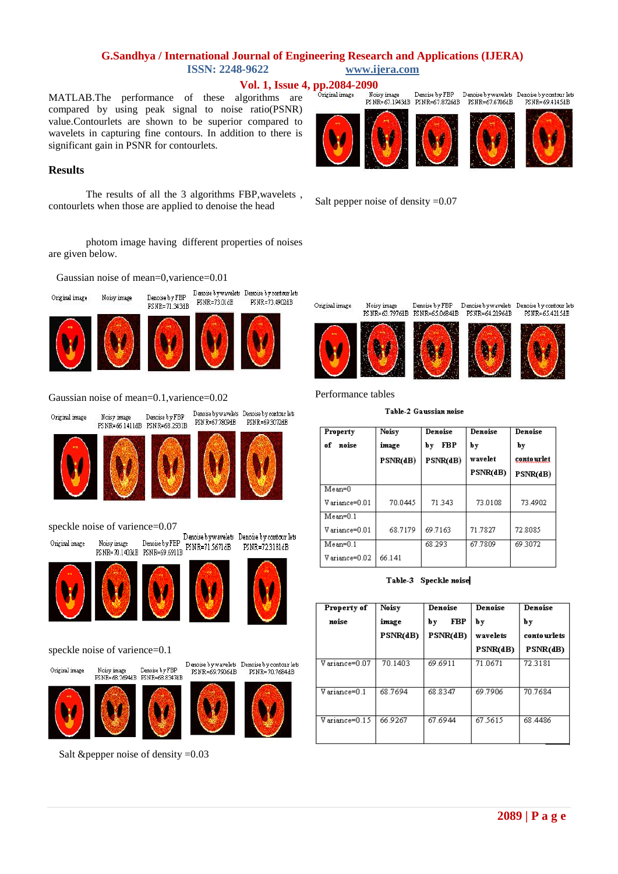Vol. 1, Issue 4, pp.2084-2090<br>dgorithms are <sup>Original image</sup> BNR=67.1943HB FSNR=67.8726HB

MATLAB.The performance of these algorithms are compared by using peak signal to noise ratio(PSNR) value.Contourlets are shown to be superior compared to wavelets in capturing fine contours. In addition to there is significant gain in PSNR for contourlets.

# **Results**

The results of all the 3 algorithms FBP,wavelets , contourlets when those are applied to denoise the head

photom image having different properties of noises are given below.

Gaussian noise of mean=0,varience=0.01



 $\begin{tabular}{l} Denoise by FBP \hspace{0.4cm} Denoise by wavelets \hspace{0.4cm} Denoise by TBP \hspace{0.4cm} PNNR=73~\text{MHz} \hspace{0.4cm} PNNR=73~\text{d}907\text{dB} \hspace{0.4cm} \end{tabular}$ Noisy image Denoise by FBP Penose by Waven<br>PSNR=71.343dB PSNR=73.01dB









Denoise by wavelets Denoise by contour lets

PSNR=73.4902dB

### Gaussian noise of mean=0.1,varience=0.02







# speckle noise of varience= $0.07$ <br>Original image Moisy image Denoise by FBP  $\frac{$  Denoise by wavelets Denoise by contour lets









PSNR=723181dB

speckle noise of varience=0.1

Original image

Noisy image Denoise by FBP<br>PS NR=68.7694dB PSNR=68.8347dB

Denoise by wavelets Denoise by contour lets PSNR=69.7906dB PSNR=70.7684dB



Salt &pepper noise of density =0.03

Salt pepper noise of density =0.07



Original image









PSNR=65.4215dB

Performance tables

Noisy image

#### Table-2 Gaussian noise

| Property<br>noise<br>of | Noisy<br>image<br>PSNR(dB) | Denoise<br><b>FBP</b><br>by<br>PSNR(dB) | Denoise<br>by<br>wavelet<br>PSNR(dB) | Denoise<br>by<br>contourlet<br>PSNR(dB) |
|-------------------------|----------------------------|-----------------------------------------|--------------------------------------|-----------------------------------------|
| $Mean=0$                |                            |                                         |                                      |                                         |
| Variance=0.01           | 70.0445                    | 71.343                                  | 73.0108                              | 73.4902                                 |
| $Mean=0.1$              |                            |                                         |                                      |                                         |
| Variance=0.01           | 68.7179                    | 69.7163                                 | 71.7827                              | 72.8085                                 |
| $Mean=0.1$              |                            | 68.293                                  | 67.7809                              | 69.3072                                 |
| Variance=0.02           | 66.141                     |                                         |                                      |                                         |

Table-3 Speckle noise

| Property of                 | Noisy    | Denoise   | Denoise  | Denoise     |
|-----------------------------|----------|-----------|----------|-------------|
| noise                       | image    | FBP<br>by | by       | by          |
|                             | PSNR(dB) | PSNR(dB)  | wavelets | contourlets |
|                             |          |           | PSNR(dB) | PSNR(dB)    |
| $\overline{V}$ ariance=0.07 | 70.1403  | 69.6911   | 71.0671  | 72.3181     |
| Variance=0.1                | 68.7694  | 68.8347   | 69.7906  | 70.7684     |
| Variance=0.15               | 66 9267  | 67 6944   | 67.5615  | 68.4486     |





Denoise by FBP Denoise by wavelets Denoise by contour lets

PSNR=64.2196dB



PSNR=69.4145dB